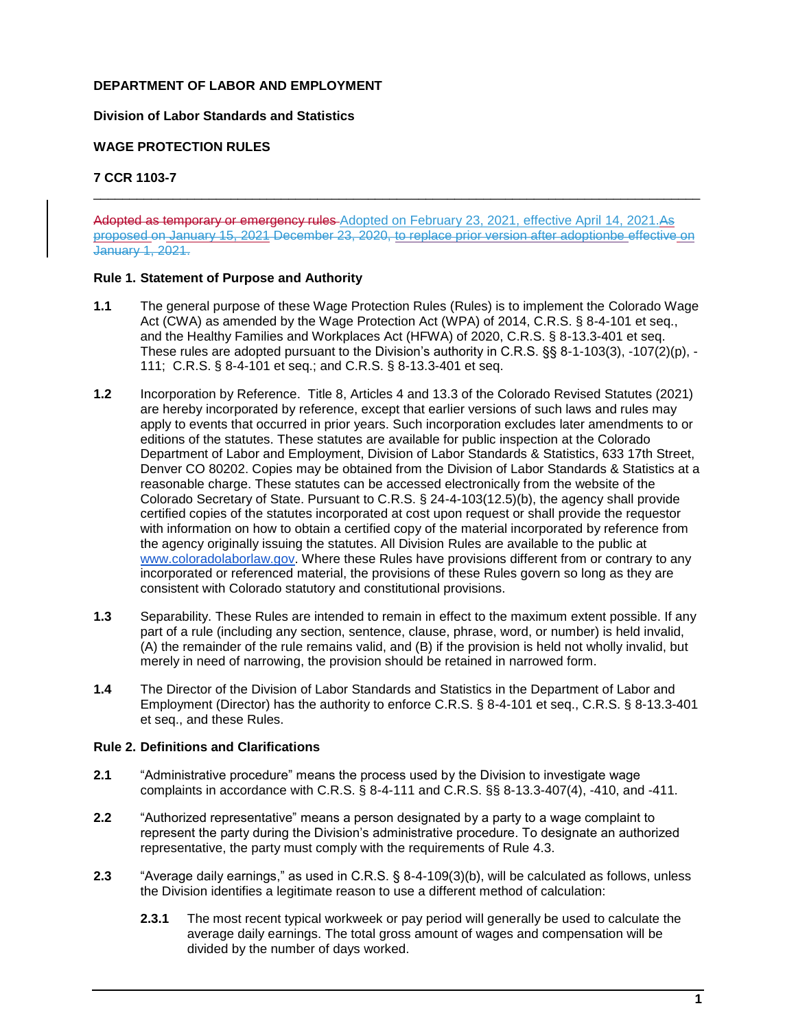# **DEPARTMENT OF LABOR AND EMPLOYMENT**

#### **Division of Labor Standards and Statistics**

## **WAGE PROTECTION RULES**

### **7 CCR 1103-7**

Adopted as temporary or emergency rules Adopted on February 23, 2021, effective April 14, 2021.As proposed on January 15, 2021 December 23, 2020, to replace prior version after adoptionbe effective on January 1, 2021.

\_\_\_\_\_\_\_\_\_\_\_\_\_\_\_\_\_\_\_\_\_\_\_\_\_\_\_\_\_\_\_\_\_\_\_\_\_\_\_\_\_\_\_\_\_\_\_\_\_\_\_\_\_\_\_\_\_\_\_\_\_\_\_\_\_\_\_\_\_\_\_\_\_\_\_\_\_\_\_\_\_\_\_\_

#### **Rule 1. Statement of Purpose and Authority**

- **1.1** The general purpose of these Wage Protection Rules (Rules) is to implement the Colorado Wage Act (CWA) as amended by the Wage Protection Act (WPA) of 2014, C.R.S. § 8-4-101 et seq., and the Healthy Families and Workplaces Act (HFWA) of 2020, C.R.S. § 8-13.3-401 et seq. These rules are adopted pursuant to the Division's authority in C.R.S. §§ 8-1-103(3), -107(2)(p), - 111; C.R.S. § 8-4-101 et seq.; and C.R.S. § 8-13.3-401 et seq.
- **1.2** Incorporation by Reference. Title 8, Articles 4 and 13.3 of the Colorado Revised Statutes (2021) are hereby incorporated by reference, except that earlier versions of such laws and rules may apply to events that occurred in prior years. Such incorporation excludes later amendments to or editions of the statutes. These statutes are available for public inspection at the Colorado Department of Labor and Employment, Division of Labor Standards & Statistics, 633 17th Street, Denver CO 80202. Copies may be obtained from the Division of Labor Standards & Statistics at a reasonable charge. These statutes can be accessed electronically from the website of the Colorado Secretary of State. Pursuant to C.R.S. § 24-4-103(12.5)(b), the agency shall provide certified copies of the statutes incorporated at cost upon request or shall provide the requestor with information on how to obtain a certified copy of the material incorporated by reference from the agency originally issuing the statutes. All Division Rules are available to the public at [www.coloradolaborlaw.gov.](http://www.coloradolaborlaw.gov/) Where these Rules have provisions different from or contrary to any incorporated or referenced material, the provisions of these Rules govern so long as they are consistent with Colorado statutory and constitutional provisions.
- **1.3** Separability. These Rules are intended to remain in effect to the maximum extent possible. If any part of a rule (including any section, sentence, clause, phrase, word, or number) is held invalid, (A) the remainder of the rule remains valid, and (B) if the provision is held not wholly invalid, but merely in need of narrowing, the provision should be retained in narrowed form.
- **1.4** The Director of the Division of Labor Standards and Statistics in the Department of Labor and Employment (Director) has the authority to enforce C.R.S. § 8-4-101 et seq., C.R.S. § 8-13.3-401 et seq., and these Rules.

#### **Rule 2. Definitions and Clarifications**

- **2.1** "Administrative procedure" means the process used by the Division to investigate wage complaints in accordance with C.R.S. § 8-4-111 and C.R.S. §§ 8-13.3-407(4), -410, and -411.
- **2.2** "Authorized representative" means a person designated by a party to a wage complaint to represent the party during the Division's administrative procedure. To designate an authorized representative, the party must comply with the requirements of Rule 4.3.
- **2.3** "Average daily earnings," as used in C.R.S. § 8-4-109(3)(b), will be calculated as follows, unless the Division identifies a legitimate reason to use a different method of calculation:
	- **2.3.1** The most recent typical workweek or pay period will generally be used to calculate the average daily earnings. The total gross amount of wages and compensation will be divided by the number of days worked.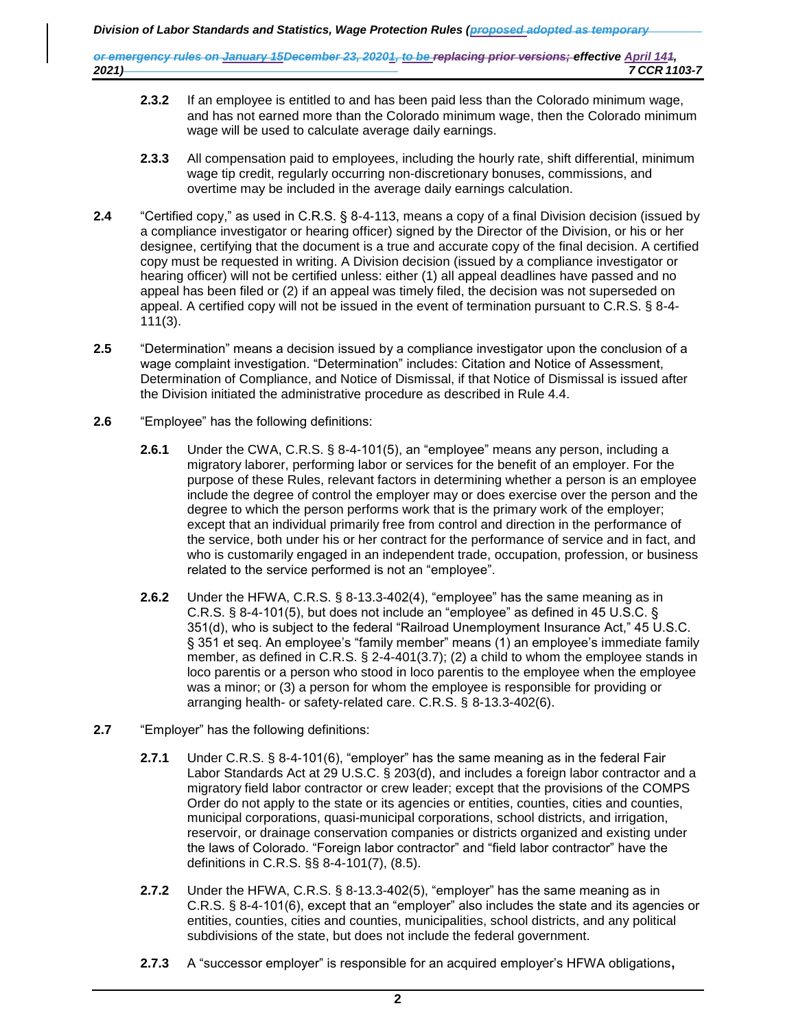- **2.3.2** If an employee is entitled to and has been paid less than the Colorado minimum wage, and has not earned more than the Colorado minimum wage, then the Colorado minimum wage will be used to calculate average daily earnings.
- **2.3.3** All compensation paid to employees, including the hourly rate, shift differential, minimum wage tip credit, regularly occurring non-discretionary bonuses, commissions, and overtime may be included in the average daily earnings calculation.
- **2.4** "Certified copy," as used in C.R.S. § 8-4-113, means a copy of a final Division decision (issued by a compliance investigator or hearing officer) signed by the Director of the Division, or his or her designee, certifying that the document is a true and accurate copy of the final decision. A certified copy must be requested in writing. A Division decision (issued by a compliance investigator or hearing officer) will not be certified unless: either (1) all appeal deadlines have passed and no appeal has been filed or (2) if an appeal was timely filed, the decision was not superseded on appeal. A certified copy will not be issued in the event of termination pursuant to C.R.S. § 8-4- 111(3).
- **2.5** "Determination" means a decision issued by a compliance investigator upon the conclusion of a wage complaint investigation. "Determination" includes: Citation and Notice of Assessment, Determination of Compliance, and Notice of Dismissal, if that Notice of Dismissal is issued after the Division initiated the administrative procedure as described in Rule 4.4.
- **2.6** "Employee" has the following definitions:
	- **2.6.1** Under the CWA, C.R.S. § 8-4-101(5), an "employee" means any person, including a migratory laborer, performing labor or services for the benefit of an employer. For the purpose of these Rules, relevant factors in determining whether a person is an employee include the degree of control the employer may or does exercise over the person and the degree to which the person performs work that is the primary work of the employer; except that an individual primarily free from control and direction in the performance of the service, both under his or her contract for the performance of service and in fact, and who is customarily engaged in an independent trade, occupation, profession, or business related to the service performed is not an "employee".
	- **2.6.2** Under the HFWA, C.R.S. § 8-13.3-402(4), "employee" has the same meaning as in C.R.S. § 8-4-101(5), but does not include an "employee" as defined in 45 U.S.C. § 351(d), who is subject to the federal "Railroad Unemployment Insurance Act," 45 U.S.C. § 351 et seq. An employee's "family member" means (1) an employee's immediate family member, as defined in C.R.S.  $\S$  2-4-401(3.7); (2) a child to whom the employee stands in loco parentis or a person who stood in loco parentis to the employee when the employee was a minor; or (3) a person for whom the employee is responsible for providing or arranging health- or safety-related care. C.R.S. § 8-13.3-402(6).
- **2.7** "Employer" has the following definitions:
	- **2.7.1** Under C.R.S. § 8-4-101(6), "employer" has the same meaning as in the federal Fair Labor Standards Act at 29 U.S.C. § 203(d), and includes a foreign labor contractor and a migratory field labor contractor or crew leader; except that the provisions of the COMPS Order do not apply to the state or its agencies or entities, counties, cities and counties, municipal corporations, quasi-municipal corporations, school districts, and irrigation, reservoir, or drainage conservation companies or districts organized and existing under the laws of Colorado. "Foreign labor contractor" and "field labor contractor" have the definitions in C.R.S. §§ 8-4-101(7), (8.5).
	- **2.7.2** Under the HFWA, C.R.S. § 8-13.3-402(5), "employer" has the same meaning as in C.R.S. § 8-4-101(6), except that an "employer" also includes the state and its agencies or entities, counties, cities and counties, municipalities, school districts, and any political subdivisions of the state, but does not include the federal government.
	- **2.7.3** A "successor employer" is responsible for an acquired employer's HFWA obligations**,**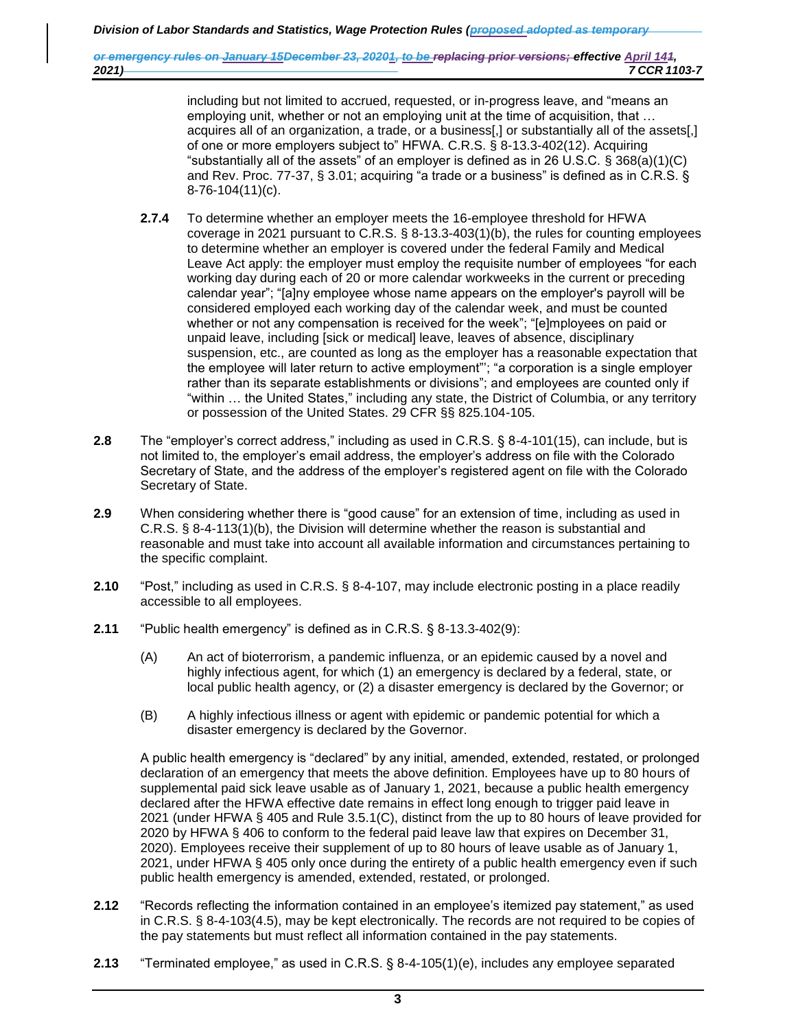> including but not limited to accrued, requested, or in-progress leave, and "means an employing unit, whether or not an employing unit at the time of acquisition, that … acquires all of an organization, a trade, or a business[,] or substantially all of the assets[,] of one or more employers subject to" HFWA. C.R.S. § 8-13.3-402(12). Acquiring "substantially all of the assets" of an employer is defined as in 26 U.S.C.  $\S$  368(a)(1)(C) and Rev. Proc. 77-37, § 3.01; acquiring "a trade or a business" is defined as in C.R.S. § 8-76-104(11)(c).

- **2.7.4** To determine whether an employer meets the 16-employee threshold for HFWA coverage in 2021 pursuant to C.R.S. § 8-13.3-403(1)(b), the rules for counting employees to determine whether an employer is covered under the federal Family and Medical Leave Act apply: the employer must employ the requisite number of employees "for each working day during each of 20 or more calendar workweeks in the current or preceding calendar year"; "[a]ny employee whose name appears on the employer's payroll will be considered employed each working day of the calendar week, and must be counted whether or not any compensation is received for the week"; "[e]mployees on paid or unpaid leave, including [sick or medical] leave, leaves of absence, disciplinary suspension, etc., are counted as long as the employer has a reasonable expectation that the employee will later return to active employment"'; "a corporation is a single employer rather than its separate establishments or divisions"; and employees are counted only if "within … the United States," including any state, the District of Columbia, or any territory or possession of the United States. 29 CFR §§ 825.104-105.
- **2.8** The "employer's correct address," including as used in C.R.S. § 8-4-101(15), can include, but is not limited to, the employer's email address, the employer's address on file with the Colorado Secretary of State, and the address of the employer's registered agent on file with the Colorado Secretary of State.
- **2.9** When considering whether there is "good cause" for an extension of time, including as used in C.R.S. § 8-4-113(1)(b), the Division will determine whether the reason is substantial and reasonable and must take into account all available information and circumstances pertaining to the specific complaint.
- **2.10** "Post," including as used in C.R.S. § 8-4-107, may include electronic posting in a place readily accessible to all employees.
- **2.11** "Public health emergency" is defined as in C.R.S. § 8-13.3-402(9):
	- (A) An act of bioterrorism, a pandemic influenza, or an epidemic caused by a novel and highly infectious agent, for which (1) an emergency is declared by a federal, state, or local public health agency, or (2) a disaster emergency is declared by the Governor; or
	- (B) A highly infectious illness or agent with epidemic or pandemic potential for which a disaster emergency is declared by the Governor.

A public health emergency is "declared" by any initial, amended, extended, restated, or prolonged declaration of an emergency that meets the above definition. Employees have up to 80 hours of supplemental paid sick leave usable as of January 1, 2021, because a public health emergency declared after the HFWA effective date remains in effect long enough to trigger paid leave in 2021 (under HFWA § 405 and Rule 3.5.1(C), distinct from the up to 80 hours of leave provided for 2020 by HFWA § 406 to conform to the federal paid leave law that expires on December 31, 2020). Employees receive their supplement of up to 80 hours of leave usable as of January 1, 2021, under HFWA § 405 only once during the entirety of a public health emergency even if such public health emergency is amended, extended, restated, or prolonged.

- **2.12** "Records reflecting the information contained in an employee's itemized pay statement," as used in C.R.S. § 8-4-103(4.5), may be kept electronically. The records are not required to be copies of the pay statements but must reflect all information contained in the pay statements.
- **2.13** "Terminated employee," as used in C.R.S. § 8-4-105(1)(e), includes any employee separated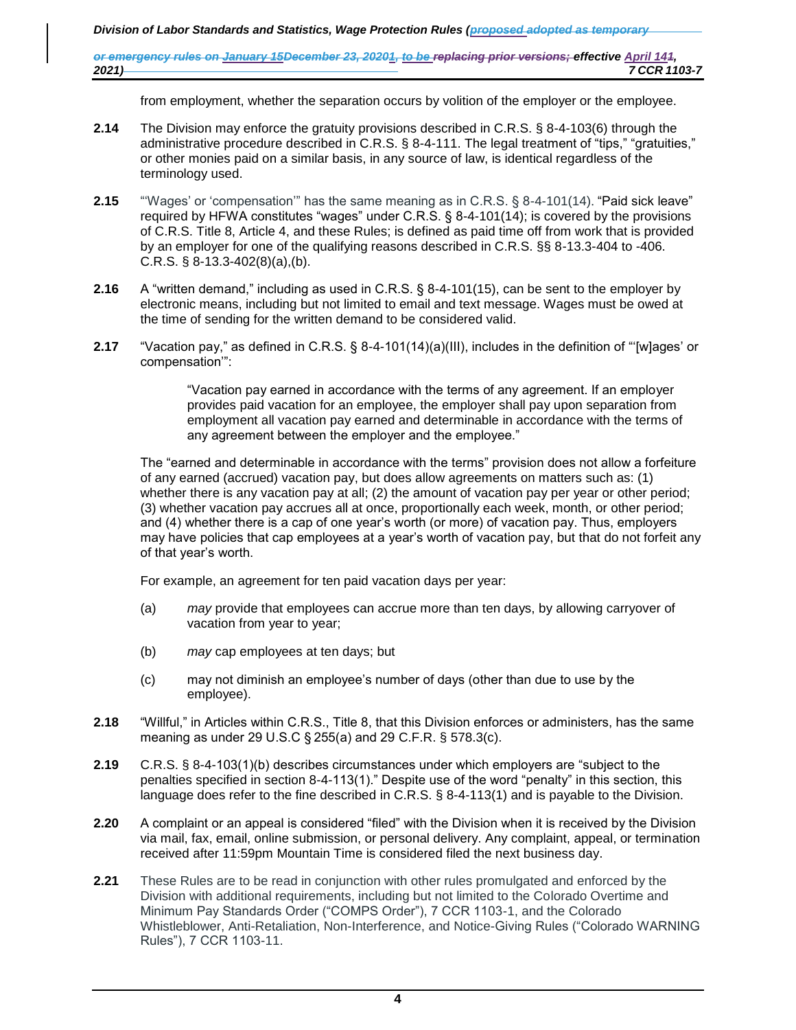from employment, whether the separation occurs by volition of the employer or the employee.

- **2.14** The Division may enforce the gratuity provisions described in C.R.S. § 8-4-103(6) through the administrative procedure described in C.R.S. § 8-4-111. The legal treatment of "tips," "gratuities," or other monies paid on a similar basis, in any source of law, is identical regardless of the terminology used.
- **2.15** "'Wages' or 'compensation'" has the same meaning as in C.R.S. § 8-4-101(14). "Paid sick leave" required by HFWA constitutes "wages" under C.R.S. § 8-4-101(14); is covered by the provisions of C.R.S. Title 8, Article 4, and these Rules; is defined as paid time off from work that is provided by an employer for one of the qualifying reasons described in C.R.S. §§ 8-13.3-404 to -406. C.R.S. § 8-13.3-402(8)(a),(b).
- **2.16** A "written demand," including as used in C.R.S. § 8-4-101(15), can be sent to the employer by electronic means, including but not limited to email and text message. Wages must be owed at the time of sending for the written demand to be considered valid.
- **2.17** "Vacation pay," as defined in C.R.S. § 8-4-101(14)(a)(III), includes in the definition of "'[w]ages' or compensation'":

"Vacation pay earned in accordance with the terms of any agreement. If an employer provides paid vacation for an employee, the employer shall pay upon separation from employment all vacation pay earned and determinable in accordance with the terms of any agreement between the employer and the employee."

The "earned and determinable in accordance with the terms" provision does not allow a forfeiture of any earned (accrued) vacation pay, but does allow agreements on matters such as: (1) whether there is any vacation pay at all; (2) the amount of vacation pay per year or other period; (3) whether vacation pay accrues all at once, proportionally each week, month, or other period; and (4) whether there is a cap of one year's worth (or more) of vacation pay. Thus, employers may have policies that cap employees at a year's worth of vacation pay, but that do not forfeit any of that year's worth.

For example, an agreement for ten paid vacation days per year:

- (a) *may* provide that employees can accrue more than ten days, by allowing carryover of vacation from year to year;
- (b) *may* cap employees at ten days; but
- (c) may not diminish an employee's number of days (other than due to use by the employee).
- **2.18** "Willful," in Articles within C.R.S., Title 8, that this Division enforces or administers, has the same meaning as under 29 U.S.C § 255(a) and 29 C.F.R. § 578.3(c).
- **2.19** C.R.S. § 8-4-103(1)(b) describes circumstances under which employers are "subject to the penalties specified in section 8-4-113(1)." Despite use of the word "penalty" in this section, this language does refer to the fine described in C.R.S. § 8-4-113(1) and is payable to the Division.
- **2.20** A complaint or an appeal is considered "filed" with the Division when it is received by the Division via mail, fax, email, online submission, or personal delivery. Any complaint, appeal, or termination received after 11:59pm Mountain Time is considered filed the next business day.
- **2.21** These Rules are to be read in conjunction with other rules promulgated and enforced by the Division with additional requirements, including but not limited to the Colorado Overtime and Minimum Pay Standards Order ("COMPS Order"), 7 CCR 1103-1, and the Colorado Whistleblower, Anti-Retaliation, Non-Interference, and Notice-Giving Rules ("Colorado WARNING Rules"), 7 CCR 1103-11.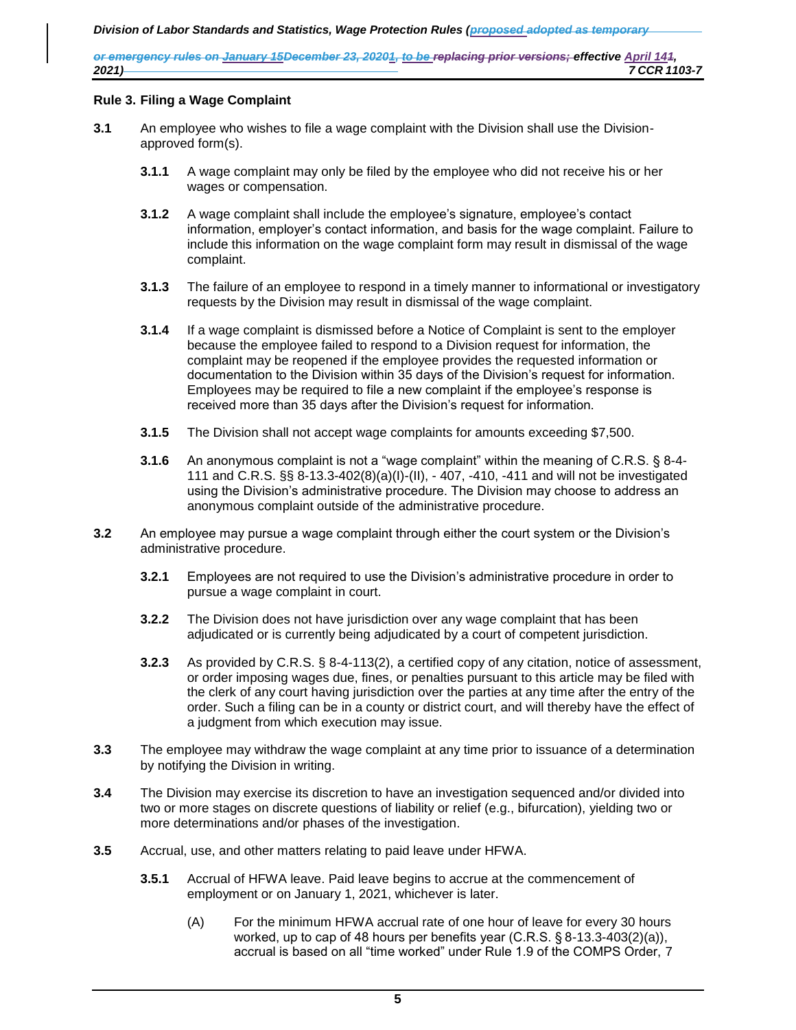*Division of Labor Standards and Statistics, Wage Protection Rules (proposed adopted as temporary*

*or emergency rules on January 15December 23, 20201, to be replacing prior versions; effective April 141, 2021) 7 CCR 1103-7*

## **Rule 3. Filing a Wage Complaint**

- **3.1** An employee who wishes to file a wage complaint with the Division shall use the Divisionapproved form(s).
	- **3.1.1** A wage complaint may only be filed by the employee who did not receive his or her wages or compensation.
	- **3.1.2** A wage complaint shall include the employee's signature, employee's contact information, employer's contact information, and basis for the wage complaint. Failure to include this information on the wage complaint form may result in dismissal of the wage complaint.
	- **3.1.3** The failure of an employee to respond in a timely manner to informational or investigatory requests by the Division may result in dismissal of the wage complaint.
	- **3.1.4** If a wage complaint is dismissed before a Notice of Complaint is sent to the employer because the employee failed to respond to a Division request for information, the complaint may be reopened if the employee provides the requested information or documentation to the Division within 35 days of the Division's request for information. Employees may be required to file a new complaint if the employee's response is received more than 35 days after the Division's request for information.
	- **3.1.5** The Division shall not accept wage complaints for amounts exceeding \$7,500.
	- **3.1.6** An anonymous complaint is not a "wage complaint" within the meaning of C.R.S. § 8-4- 111 and C.R.S. §§ 8-13.3-402(8)(a)(I)-(II), - 407, -410, -411 and will not be investigated using the Division's administrative procedure. The Division may choose to address an anonymous complaint outside of the administrative procedure.
- **3.2** An employee may pursue a wage complaint through either the court system or the Division's administrative procedure.
	- **3.2.1** Employees are not required to use the Division's administrative procedure in order to pursue a wage complaint in court.
	- **3.2.2** The Division does not have jurisdiction over any wage complaint that has been adjudicated or is currently being adjudicated by a court of competent jurisdiction.
	- **3.2.3** As provided by C.R.S. § 8-4-113(2), a certified copy of any citation, notice of assessment, or order imposing wages due, fines, or penalties pursuant to this article may be filed with the clerk of any court having jurisdiction over the parties at any time after the entry of the order. Such a filing can be in a county or district court, and will thereby have the effect of a judgment from which execution may issue.
- **3.3** The employee may withdraw the wage complaint at any time prior to issuance of a determination by notifying the Division in writing.
- **3.4** The Division may exercise its discretion to have an investigation sequenced and/or divided into two or more stages on discrete questions of liability or relief (e.g., bifurcation), yielding two or more determinations and/or phases of the investigation.
- **3.5** Accrual, use, and other matters relating to paid leave under HFWA.
	- **3.5.1** Accrual of HFWA leave. Paid leave begins to accrue at the commencement of employment or on January 1, 2021, whichever is later.
		- (A) For the minimum HFWA accrual rate of one hour of leave for every 30 hours worked, up to cap of 48 hours per benefits year (C.R.S. § 8-13.3-403(2)(a)), accrual is based on all "time worked" under Rule 1.9 of the COMPS Order, 7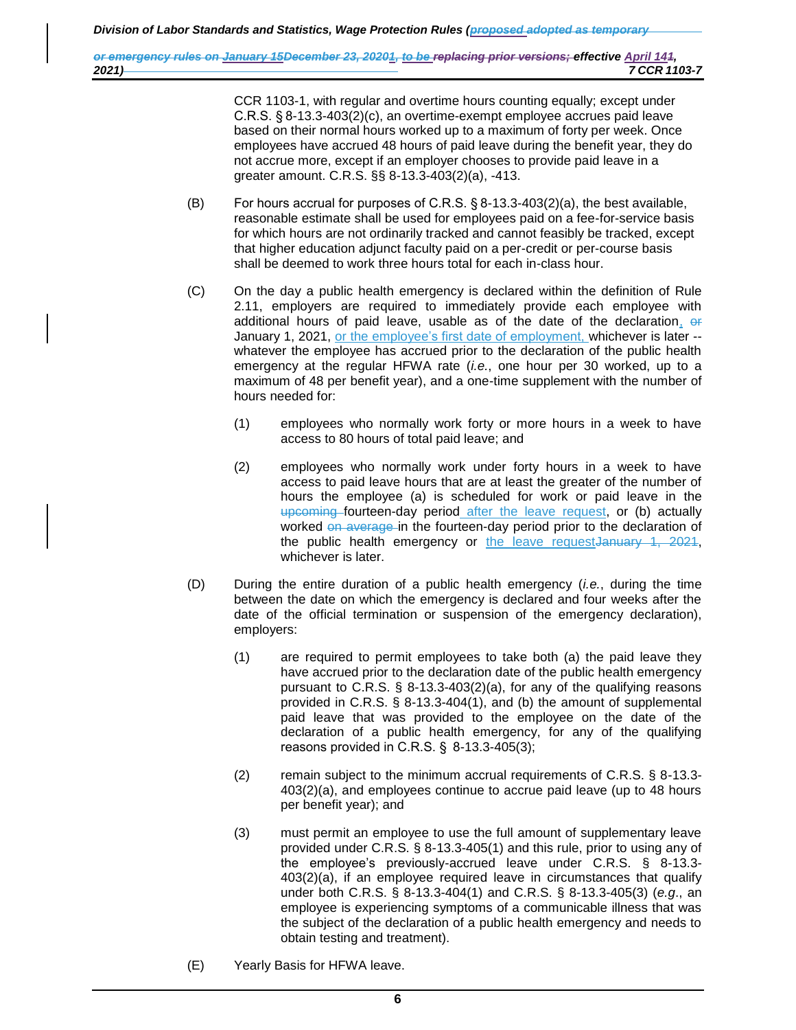> CCR 1103-1, with regular and overtime hours counting equally; except under C.R.S. § 8-13.3-403(2)(c), an overtime-exempt employee accrues paid leave based on their normal hours worked up to a maximum of forty per week. Once employees have accrued 48 hours of paid leave during the benefit year, they do not accrue more, except if an employer chooses to provide paid leave in a greater amount. C.R.S. §§ 8-13.3-403(2)(a), -413.

- (B) For hours accrual for purposes of C.R.S. § 8-13.3-403(2)(a), the best available, reasonable estimate shall be used for employees paid on a fee-for-service basis for which hours are not ordinarily tracked and cannot feasibly be tracked, except that higher education adjunct faculty paid on a per-credit or per-course basis shall be deemed to work three hours total for each in-class hour.
- (C) On the day a public health emergency is declared within the definition of Rule 2.11, employers are required to immediately provide each employee with additional hours of paid leave, usable as of the date of the declaration,  $e^f$ January 1, 2021, or the employee's first date of employment, whichever is later -whatever the employee has accrued prior to the declaration of the public health emergency at the regular HFWA rate (*i.e.*, one hour per 30 worked, up to a maximum of 48 per benefit year), and a one-time supplement with the number of hours needed for:
	- (1) employees who normally work forty or more hours in a week to have access to 80 hours of total paid leave; and
	- (2) employees who normally work under forty hours in a week to have access to paid leave hours that are at least the greater of the number of hours the employee (a) is scheduled for work or paid leave in the upcoming fourteen-day period after the leave request, or (b) actually worked on average in the fourteen-day period prior to the declaration of the public health emergency or the leave request<del>January 1, 2021</del>, whichever is later.
- (D) During the entire duration of a public health emergency (*i.e.*, during the time between the date on which the emergency is declared and four weeks after the date of the official termination or suspension of the emergency declaration), employers:
	- (1) are required to permit employees to take both (a) the paid leave they have accrued prior to the declaration date of the public health emergency pursuant to C.R.S. § 8-13.3-403(2)(a), for any of the qualifying reasons provided in C.R.S. § 8-13.3-404(1), and (b) the amount of supplemental paid leave that was provided to the employee on the date of the declaration of a public health emergency, for any of the qualifying reasons provided in C.R.S. §  8-13.3-405(3);
	- (2) remain subject to the minimum accrual requirements of C.R.S. § 8-13.3- 403(2)(a), and employees continue to accrue paid leave (up to 48 hours per benefit year); and
	- (3) must permit an employee to use the full amount of supplementary leave provided under C.R.S. § 8-13.3-405(1) and this rule, prior to using any of the employee's previously-accrued leave under C.R.S. § 8-13.3- 403(2)(a), if an employee required leave in circumstances that qualify under both C.R.S. § 8-13.3-404(1) and C.R.S. § 8-13.3-405(3) (*e.g*., an employee is experiencing symptoms of a communicable illness that was the subject of the declaration of a public health emergency and needs to obtain testing and treatment).
- (E) Yearly Basis for HFWA leave.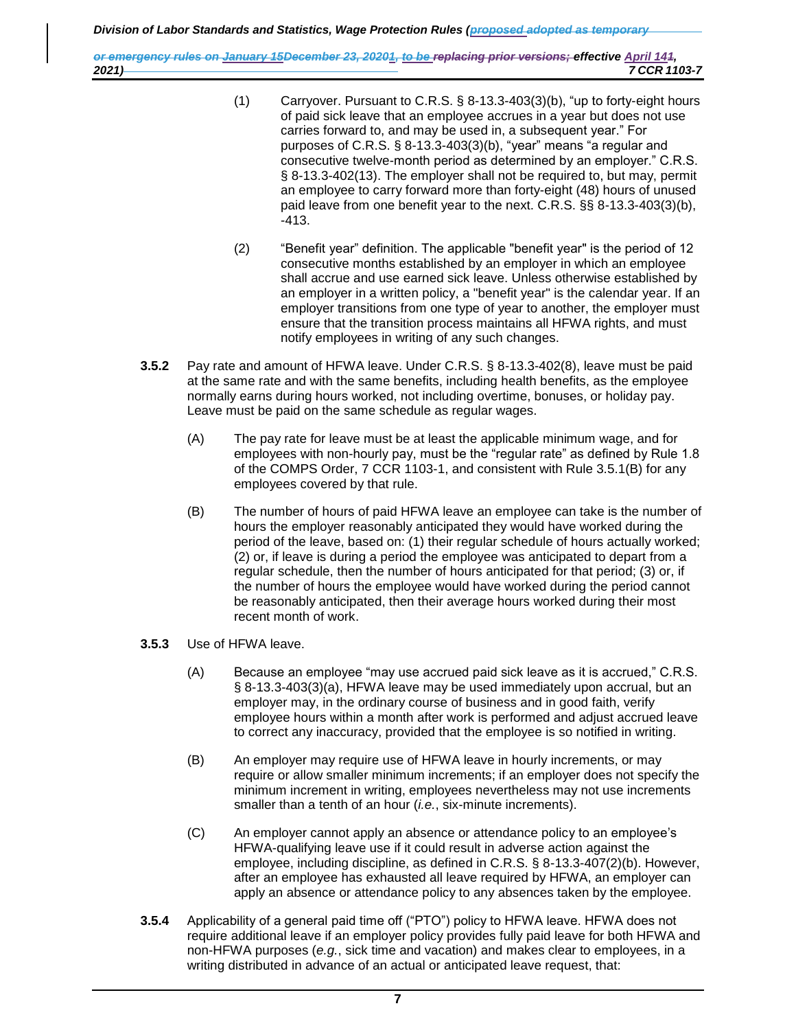- (1) Carryover. Pursuant to C.R.S. § 8-13.3-403(3)(b), "up to forty-eight hours of paid sick leave that an employee accrues in a year but does not use carries forward to, and may be used in, a subsequent year." For purposes of C.R.S. § 8-13.3-403(3)(b), "year" means "a regular and consecutive twelve-month period as determined by an employer." C.R.S. § 8-13.3-402(13). The employer shall not be required to, but may, permit an employee to carry forward more than forty-eight (48) hours of unused paid leave from one benefit year to the next. C.R.S. §§ 8-13.3-403(3)(b), -413.
- (2) "Benefit year" definition. The applicable "benefit year" is the period of 12 consecutive months established by an employer in which an employee shall accrue and use earned sick leave. Unless otherwise established by an employer in a written policy, a "benefit year" is the calendar year. If an employer transitions from one type of year to another, the employer must ensure that the transition process maintains all HFWA rights, and must notify employees in writing of any such changes.
- **3.5.2** Pay rate and amount of HFWA leave. Under C.R.S. § 8-13.3-402(8), leave must be paid at the same rate and with the same benefits, including health benefits, as the employee normally earns during hours worked, not including overtime, bonuses, or holiday pay. Leave must be paid on the same schedule as regular wages.
	- (A) The pay rate for leave must be at least the applicable minimum wage, and for employees with non-hourly pay, must be the "regular rate" as defined by Rule 1.8 of the COMPS Order, 7 CCR 1103-1, and consistent with Rule 3.5.1(B) for any employees covered by that rule.
	- (B) The number of hours of paid HFWA leave an employee can take is the number of hours the employer reasonably anticipated they would have worked during the period of the leave, based on: (1) their regular schedule of hours actually worked; (2) or, if leave is during a period the employee was anticipated to depart from a regular schedule, then the number of hours anticipated for that period; (3) or, if the number of hours the employee would have worked during the period cannot be reasonably anticipated, then their average hours worked during their most recent month of work.
- **3.5.3** Use of HFWA leave.
	- (A) Because an employee "may use accrued paid sick leave as it is accrued," C.R.S. § 8-13.3-403(3)(a), HFWA leave may be used immediately upon accrual, but an employer may, in the ordinary course of business and in good faith, verify employee hours within a month after work is performed and adjust accrued leave to correct any inaccuracy, provided that the employee is so notified in writing.
	- (B) An employer may require use of HFWA leave in hourly increments, or may require or allow smaller minimum increments; if an employer does not specify the minimum increment in writing, employees nevertheless may not use increments smaller than a tenth of an hour (*i.e.*, six-minute increments).
	- (C) An employer cannot apply an absence or attendance policy to an employee's HFWA-qualifying leave use if it could result in adverse action against the employee, including discipline, as defined in C.R.S. § 8-13.3-407(2)(b). However, after an employee has exhausted all leave required by HFWA, an employer can apply an absence or attendance policy to any absences taken by the employee.
- **3.5.4** Applicability of a general paid time off ("PTO") policy to HFWA leave. HFWA does not require additional leave if an employer policy provides fully paid leave for both HFWA and non-HFWA purposes (*e.g.*, sick time and vacation) and makes clear to employees, in a writing distributed in advance of an actual or anticipated leave request, that: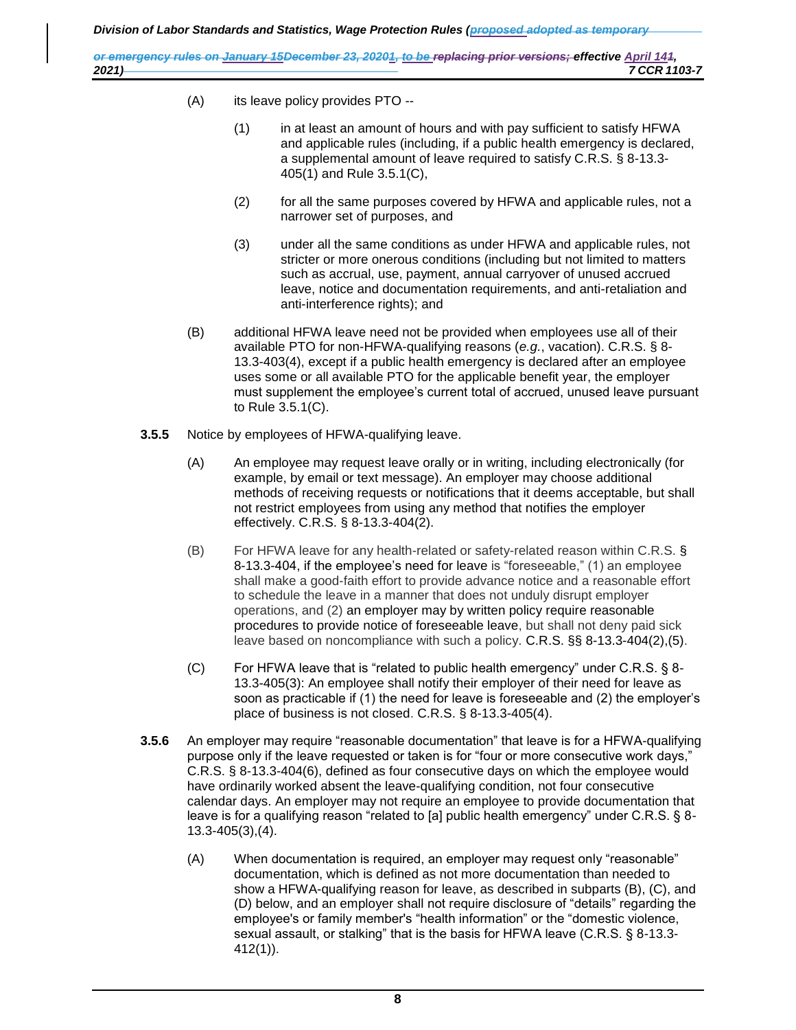- (A) its leave policy provides PTO --
	- (1) in at least an amount of hours and with pay sufficient to satisfy HFWA and applicable rules (including, if a public health emergency is declared, a supplemental amount of leave required to satisfy C.R.S. § 8-13.3- 405(1) and Rule 3.5.1(C),
	- (2) for all the same purposes covered by HFWA and applicable rules, not a narrower set of purposes, and
	- (3) under all the same conditions as under HFWA and applicable rules, not stricter or more onerous conditions (including but not limited to matters such as accrual, use, payment, annual carryover of unused accrued leave, notice and documentation requirements, and anti-retaliation and anti-interference rights); and
- (B) additional HFWA leave need not be provided when employees use all of their available PTO for non-HFWA-qualifying reasons (*e.g.*, vacation). C.R.S. § 8- 13.3-403(4), except if a public health emergency is declared after an employee uses some or all available PTO for the applicable benefit year, the employer must supplement the employee's current total of accrued, unused leave pursuant to Rule 3.5.1(C).
- **3.5.5** Notice by employees of HFWA-qualifying leave.
	- (A) An employee may request leave orally or in writing, including electronically (for example, by email or text message). An employer may choose additional methods of receiving requests or notifications that it deems acceptable, but shall not restrict employees from using any method that notifies the employer effectively. C.R.S. § 8-13.3-404(2).
	- (B) For HFWA leave for any health-related or safety-related reason within C.R.S. § 8-13.3-404, if the employee's need for leave is "foreseeable," (1) an employee shall make a good-faith effort to provide advance notice and a reasonable effort to schedule the leave in a manner that does not unduly disrupt employer operations, and (2) an employer may by written policy require reasonable procedures to provide notice of foreseeable leave, but shall not deny paid sick leave based on noncompliance with such a policy. C.R.S. §§ 8-13.3-404(2),(5).
	- (C) For HFWA leave that is "related to public health emergency" under C.R.S.  $\S$  8-13.3-405(3): An employee shall notify their employer of their need for leave as soon as practicable if (1) the need for leave is foreseeable and (2) the employer's place of business is not closed. C.R.S. § 8-13.3-405(4).
- **3.5.6** An employer may require "reasonable documentation" that leave is for a HFWA-qualifying purpose only if the leave requested or taken is for "four or more consecutive work days," C.R.S. § 8-13.3-404(6), defined as four consecutive days on which the employee would have ordinarily worked absent the leave-qualifying condition, not four consecutive calendar days. An employer may not require an employee to provide documentation that leave is for a qualifying reason "related to [a] public health emergency" under C.R.S. § 8- 13.3-405(3),(4).
	- (A) When documentation is required, an employer may request only "reasonable" documentation, which is defined as not more documentation than needed to show a HFWA-qualifying reason for leave, as described in subparts (B), (C), and (D) below, and an employer shall not require disclosure of "details" regarding the employee's or family member's "health information" or the "domestic violence, sexual assault, or stalking" that is the basis for HFWA leave (C.R.S. § 8-13.3- 412(1)).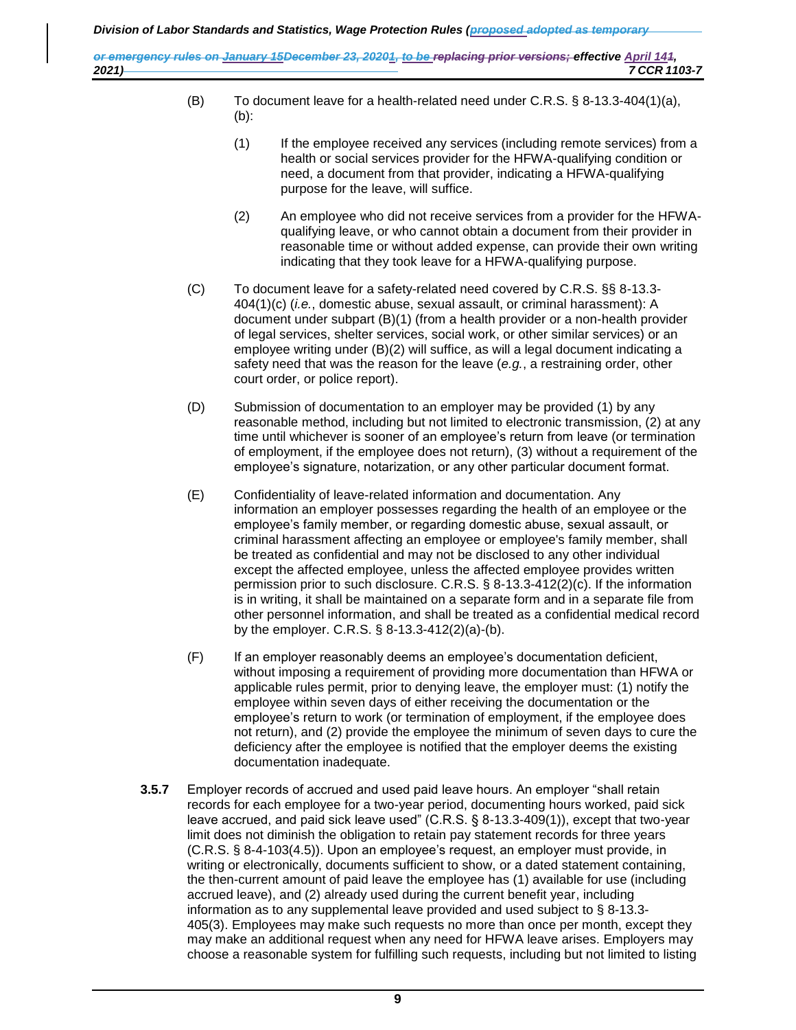- (B) To document leave for a health-related need under C.R.S.  $\S$  8-13.3-404(1)(a), (b):
	- (1) If the employee received any services (including remote services) from a health or social services provider for the HFWA-qualifying condition or need, a document from that provider, indicating a HFWA-qualifying purpose for the leave, will suffice.
	- (2) An employee who did not receive services from a provider for the HFWAqualifying leave, or who cannot obtain a document from their provider in reasonable time or without added expense, can provide their own writing indicating that they took leave for a HFWA-qualifying purpose.
- (C) To document leave for a safety-related need covered by C.R.S. §§ 8-13.3- 404(1)(c) (*i.e.*, domestic abuse, sexual assault, or criminal harassment): A document under subpart (B)(1) (from a health provider or a non-health provider of legal services, shelter services, social work, or other similar services) or an employee writing under (B)(2) will suffice, as will a legal document indicating a safety need that was the reason for the leave (*e.g.*, a restraining order, other court order, or police report).
- (D) Submission of documentation to an employer may be provided (1) by any reasonable method, including but not limited to electronic transmission, (2) at any time until whichever is sooner of an employee's return from leave (or termination of employment, if the employee does not return), (3) without a requirement of the employee's signature, notarization, or any other particular document format.
- (E) Confidentiality of leave-related information and documentation. Any information an employer possesses regarding the health of an employee or the employee's family member, or regarding domestic abuse, sexual assault, or criminal harassment affecting an employee or employee's family member, shall be treated as confidential and may not be disclosed to any other individual except the affected employee, unless the affected employee provides written permission prior to such disclosure. C.R.S. § 8-13.3-412(2)(c). If the information is in writing, it shall be maintained on a separate form and in a separate file from other personnel information, and shall be treated as a confidential medical record by the employer. C.R.S. § 8-13.3-412(2)(a)-(b).
- (F) If an employer reasonably deems an employee's documentation deficient, without imposing a requirement of providing more documentation than HFWA or applicable rules permit, prior to denying leave, the employer must: (1) notify the employee within seven days of either receiving the documentation or the employee's return to work (or termination of employment, if the employee does not return), and (2) provide the employee the minimum of seven days to cure the deficiency after the employee is notified that the employer deems the existing documentation inadequate.
- **3.5.7** Employer records of accrued and used paid leave hours. An employer "shall retain records for each employee for a two-year period, documenting hours worked, paid sick leave accrued, and paid sick leave used" (C.R.S. § 8-13.3-409(1)), except that two-year limit does not diminish the obligation to retain pay statement records for three years (C.R.S. § 8-4-103(4.5)). Upon an employee's request, an employer must provide, in writing or electronically, documents sufficient to show, or a dated statement containing, the then-current amount of paid leave the employee has (1) available for use (including accrued leave), and (2) already used during the current benefit year, including information as to any supplemental leave provided and used subject to § 8-13.3- 405(3). Employees may make such requests no more than once per month, except they may make an additional request when any need for HFWA leave arises. Employers may choose a reasonable system for fulfilling such requests, including but not limited to listing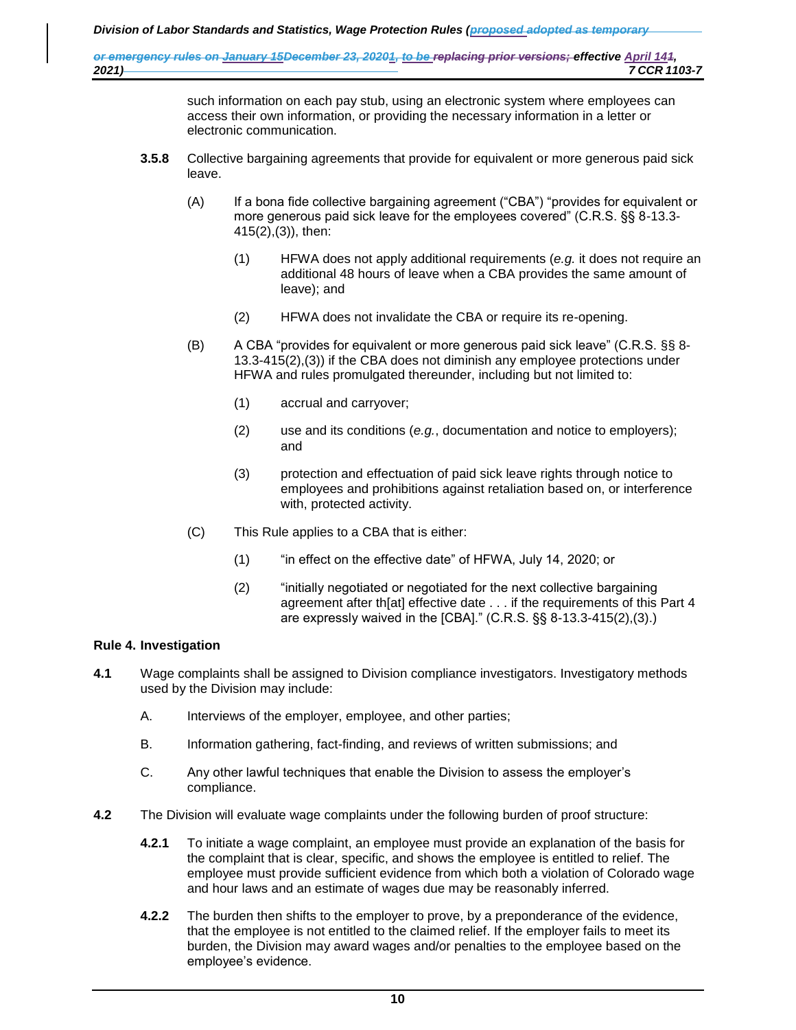> such information on each pay stub, using an electronic system where employees can access their own information, or providing the necessary information in a letter or electronic communication.

- **3.5.8** Collective bargaining agreements that provide for equivalent or more generous paid sick leave.
	- (A) If a bona fide collective bargaining agreement ("CBA") "provides for equivalent or more generous paid sick leave for the employees covered" (C.R.S. §§ 8-13.3- 415(2),(3)), then:
		- (1) HFWA does not apply additional requirements (*e.g.* it does not require an additional 48 hours of leave when a CBA provides the same amount of leave); and
		- (2) HFWA does not invalidate the CBA or require its re-opening.
	- (B) A CBA "provides for equivalent or more generous paid sick leave" (C.R.S. §§ 8- 13.3-415(2),(3)) if the CBA does not diminish any employee protections under HFWA and rules promulgated thereunder, including but not limited to:
		- (1) accrual and carryover;
		- (2) use and its conditions (*e.g.*, documentation and notice to employers); and
		- (3) protection and effectuation of paid sick leave rights through notice to employees and prohibitions against retaliation based on, or interference with, protected activity.
	- (C) This Rule applies to a CBA that is either:
		- (1) "in effect on the effective date" of HFWA, July 14, 2020; or
		- (2) "initially negotiated or negotiated for the next collective bargaining agreement after th[at] effective date . . . if the requirements of this Part 4 are expressly waived in the [CBA]." (C.R.S. §§ 8-13.3-415(2),(3).)

#### **Rule 4. Investigation**

- **4.1** Wage complaints shall be assigned to Division compliance investigators. Investigatory methods used by the Division may include:
	- A. Interviews of the employer, employee, and other parties;
	- B. Information gathering, fact-finding, and reviews of written submissions; and
	- C. Any other lawful techniques that enable the Division to assess the employer's compliance.
- **4.2** The Division will evaluate wage complaints under the following burden of proof structure:
	- **4.2.1** To initiate a wage complaint, an employee must provide an explanation of the basis for the complaint that is clear, specific, and shows the employee is entitled to relief. The employee must provide sufficient evidence from which both a violation of Colorado wage and hour laws and an estimate of wages due may be reasonably inferred.
	- **4.2.2** The burden then shifts to the employer to prove, by a preponderance of the evidence, that the employee is not entitled to the claimed relief. If the employer fails to meet its burden, the Division may award wages and/or penalties to the employee based on the employee's evidence.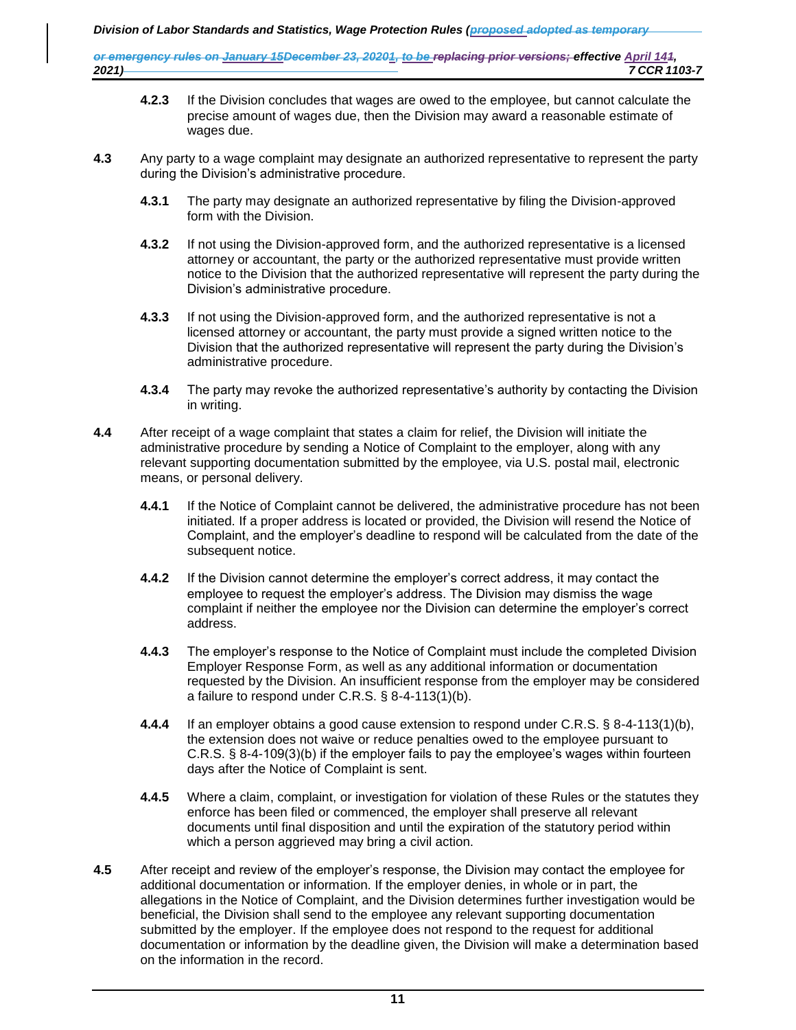- **4.2.3** If the Division concludes that wages are owed to the employee, but cannot calculate the precise amount of wages due, then the Division may award a reasonable estimate of wages due.
- **4.3** Any party to a wage complaint may designate an authorized representative to represent the party during the Division's administrative procedure.
	- **4.3.1** The party may designate an authorized representative by filing the Division-approved form with the Division.
	- **4.3.2** If not using the Division-approved form, and the authorized representative is a licensed attorney or accountant, the party or the authorized representative must provide written notice to the Division that the authorized representative will represent the party during the Division's administrative procedure.
	- **4.3.3** If not using the Division-approved form, and the authorized representative is not a licensed attorney or accountant, the party must provide a signed written notice to the Division that the authorized representative will represent the party during the Division's administrative procedure.
	- **4.3.4** The party may revoke the authorized representative's authority by contacting the Division in writing.
- **4.4** After receipt of a wage complaint that states a claim for relief, the Division will initiate the administrative procedure by sending a Notice of Complaint to the employer, along with any relevant supporting documentation submitted by the employee, via U.S. postal mail, electronic means, or personal delivery.
	- **4.4.1** If the Notice of Complaint cannot be delivered, the administrative procedure has not been initiated. If a proper address is located or provided, the Division will resend the Notice of Complaint, and the employer's deadline to respond will be calculated from the date of the subsequent notice.
	- **4.4.2** If the Division cannot determine the employer's correct address, it may contact the employee to request the employer's address. The Division may dismiss the wage complaint if neither the employee nor the Division can determine the employer's correct address.
	- **4.4.3** The employer's response to the Notice of Complaint must include the completed Division Employer Response Form, as well as any additional information or documentation requested by the Division. An insufficient response from the employer may be considered a failure to respond under C.R.S. § 8-4-113(1)(b).
	- **4.4.4** If an employer obtains a good cause extension to respond under C.R.S. § 8-4-113(1)(b), the extension does not waive or reduce penalties owed to the employee pursuant to C.R.S. § 8-4-109(3)(b) if the employer fails to pay the employee's wages within fourteen days after the Notice of Complaint is sent.
	- **4.4.5** Where a claim, complaint, or investigation for violation of these Rules or the statutes they enforce has been filed or commenced, the employer shall preserve all relevant documents until final disposition and until the expiration of the statutory period within which a person aggrieved may bring a civil action.
- **4.5** After receipt and review of the employer's response, the Division may contact the employee for additional documentation or information. If the employer denies, in whole or in part, the allegations in the Notice of Complaint, and the Division determines further investigation would be beneficial, the Division shall send to the employee any relevant supporting documentation submitted by the employer. If the employee does not respond to the request for additional documentation or information by the deadline given, the Division will make a determination based on the information in the record.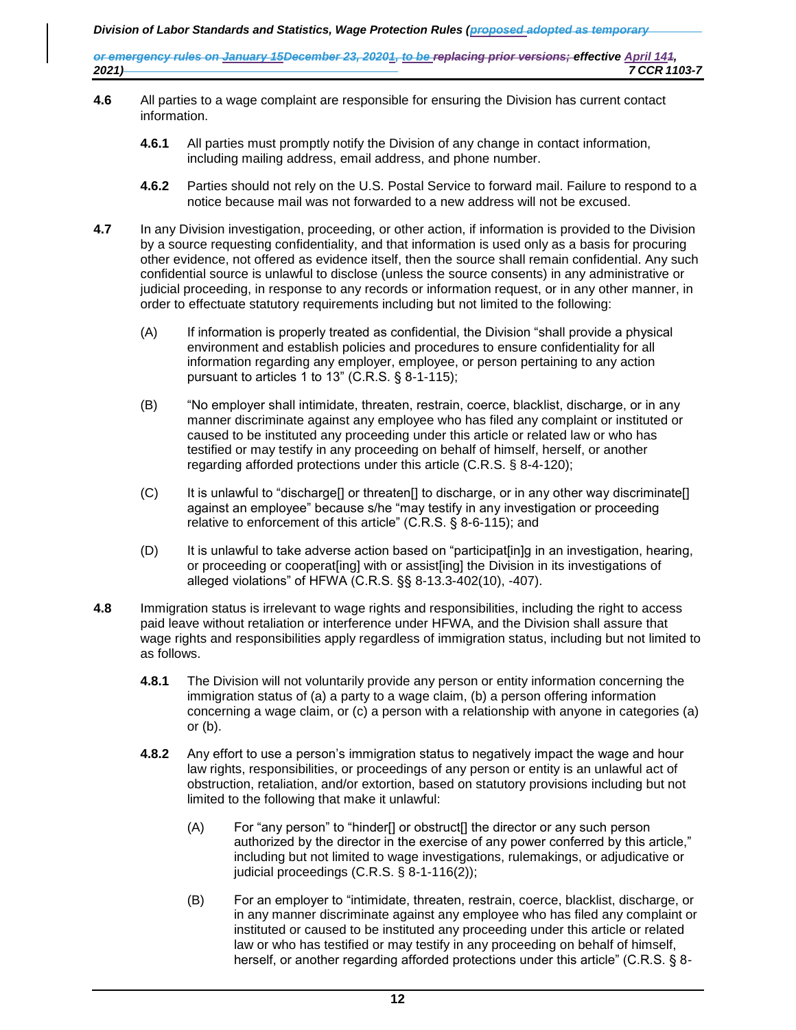- **4.6** All parties to a wage complaint are responsible for ensuring the Division has current contact information.
	- **4.6.1** All parties must promptly notify the Division of any change in contact information, including mailing address, email address, and phone number.
	- **4.6.2** Parties should not rely on the U.S. Postal Service to forward mail. Failure to respond to a notice because mail was not forwarded to a new address will not be excused.
- **4.7** In any Division investigation, proceeding, or other action, if information is provided to the Division by a source requesting confidentiality, and that information is used only as a basis for procuring other evidence, not offered as evidence itself, then the source shall remain confidential. Any such confidential source is unlawful to disclose (unless the source consents) in any administrative or judicial proceeding, in response to any records or information request, or in any other manner, in order to effectuate statutory requirements including but not limited to the following:
	- (A) If information is properly treated as confidential, the Division "shall provide a physical environment and establish policies and procedures to ensure confidentiality for all information regarding any employer, employee, or person pertaining to any action pursuant to articles 1 to 13" (C.R.S. § 8-1-115);
	- (B) "No employer shall intimidate, threaten, restrain, coerce, blacklist, discharge, or in any manner discriminate against any employee who has filed any complaint or instituted or caused to be instituted any proceeding under this article or related law or who has testified or may testify in any proceeding on behalf of himself, herself, or another regarding afforded protections under this article (C.R.S. § 8-4-120);
	- (C) It is unlawful to "discharge[] or threaten[] to discharge, or in any other way discriminate[] against an employee" because s/he "may testify in any investigation or proceeding relative to enforcement of this article" (C.R.S. § 8-6-115); and
	- (D) It is unlawful to take adverse action based on "participat[in]g in an investigation, hearing, or proceeding or cooperat[ing] with or assist[ing] the Division in its investigations of alleged violations" of HFWA (C.R.S. §§ 8-13.3-402(10), -407).
- **4.8** Immigration status is irrelevant to wage rights and responsibilities, including the right to access paid leave without retaliation or interference under HFWA, and the Division shall assure that wage rights and responsibilities apply regardless of immigration status, including but not limited to as follows.
	- **4.8.1** The Division will not voluntarily provide any person or entity information concerning the immigration status of (a) a party to a wage claim, (b) a person offering information concerning a wage claim, or (c) a person with a relationship with anyone in categories (a) or (b).
	- **4.8.2** Any effort to use a person's immigration status to negatively impact the wage and hour law rights, responsibilities, or proceedings of any person or entity is an unlawful act of obstruction, retaliation, and/or extortion, based on statutory provisions including but not limited to the following that make it unlawful:
		- (A) For "any person" to "hinder[] or obstruct[] the director or any such person authorized by the director in the exercise of any power conferred by this article," including but not limited to wage investigations, rulemakings, or adjudicative or judicial proceedings (C.R.S. § 8-1-116(2));
		- (B) For an employer to "intimidate, threaten, restrain, coerce, blacklist, discharge, or in any manner discriminate against any employee who has filed any complaint or instituted or caused to be instituted any proceeding under this article or related law or who has testified or may testify in any proceeding on behalf of himself, herself, or another regarding afforded protections under this article" (C.R.S. § 8-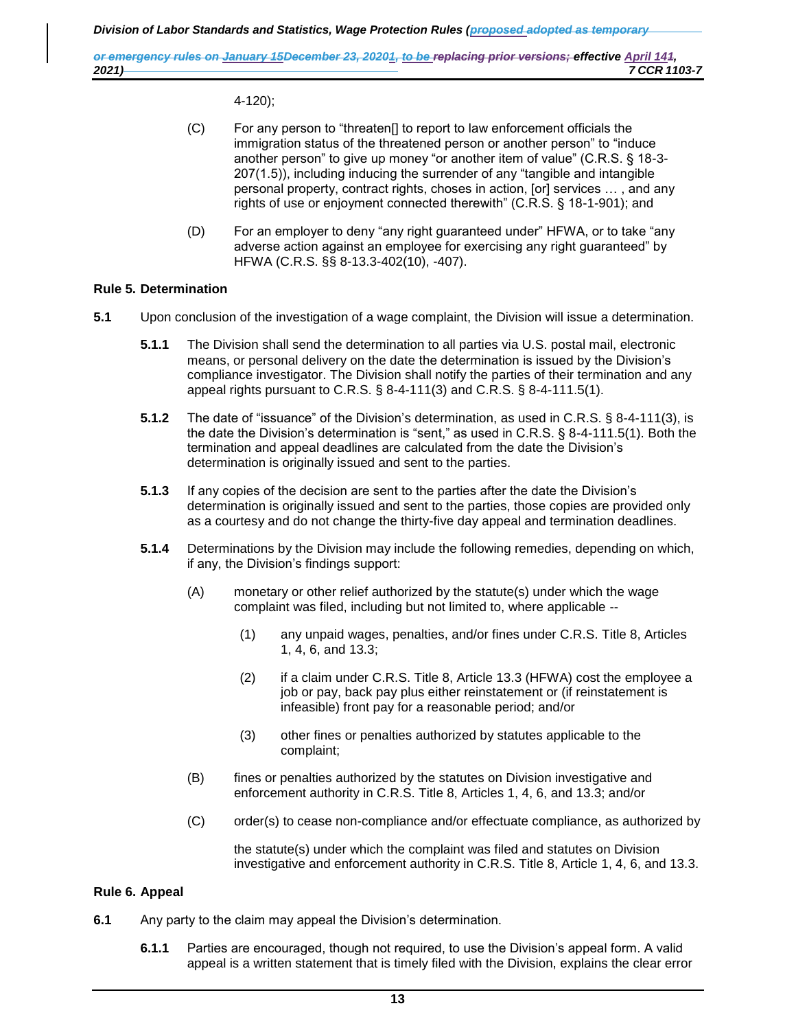4-120);

- (C) For any person to "threaten[] to report to law enforcement officials the immigration status of the threatened person or another person" to "induce another person" to give up money "or another item of value" (C.R.S. § 18-3- 207(1.5)), including inducing the surrender of any "tangible and intangible personal property, contract rights, choses in action, [or] services … , and any rights of use or enjoyment connected therewith" (C.R.S. § 18-1-901); and
- (D) For an employer to deny "any right guaranteed under" HFWA, or to take "any adverse action against an employee for exercising any right guaranteed" by HFWA (C.R.S. §§ 8-13.3-402(10), -407).

#### **Rule 5. Determination**

- **5.1** Upon conclusion of the investigation of a wage complaint, the Division will issue a determination.
	- **5.1.1** The Division shall send the determination to all parties via U.S. postal mail, electronic means, or personal delivery on the date the determination is issued by the Division's compliance investigator. The Division shall notify the parties of their termination and any appeal rights pursuant to C.R.S. § 8-4-111(3) and C.R.S. § 8-4-111.5(1).
	- **5.1.2** The date of "issuance" of the Division's determination, as used in C.R.S. § 8-4-111(3), is the date the Division's determination is "sent," as used in C.R.S. § 8-4-111.5(1). Both the termination and appeal deadlines are calculated from the date the Division's determination is originally issued and sent to the parties.
	- **5.1.3** If any copies of the decision are sent to the parties after the date the Division's determination is originally issued and sent to the parties, those copies are provided only as a courtesy and do not change the thirty-five day appeal and termination deadlines.
	- **5.1.4** Determinations by the Division may include the following remedies, depending on which, if any, the Division's findings support:
		- (A) monetary or other relief authorized by the statute(s) under which the wage complaint was filed, including but not limited to, where applicable --
			- (1) any unpaid wages, penalties, and/or fines under C.R.S. Title 8, Articles 1, 4, 6, and 13.3;
			- (2) if a claim under C.R.S. Title 8, Article 13.3 (HFWA) cost the employee a job or pay, back pay plus either reinstatement or (if reinstatement is infeasible) front pay for a reasonable period; and/or
			- (3) other fines or penalties authorized by statutes applicable to the complaint;
		- (B) fines or penalties authorized by the statutes on Division investigative and enforcement authority in C.R.S. Title 8, Articles 1, 4, 6, and 13.3; and/or
		- (C) order(s) to cease non-compliance and/or effectuate compliance, as authorized by

the statute(s) under which the complaint was filed and statutes on Division investigative and enforcement authority in C.R.S. Title 8, Article 1, 4, 6, and 13.3.

#### **Rule 6. Appeal**

- **6.1** Any party to the claim may appeal the Division's determination.
	- **6.1.1** Parties are encouraged, though not required, to use the Division's appeal form. A valid appeal is a written statement that is timely filed with the Division, explains the clear error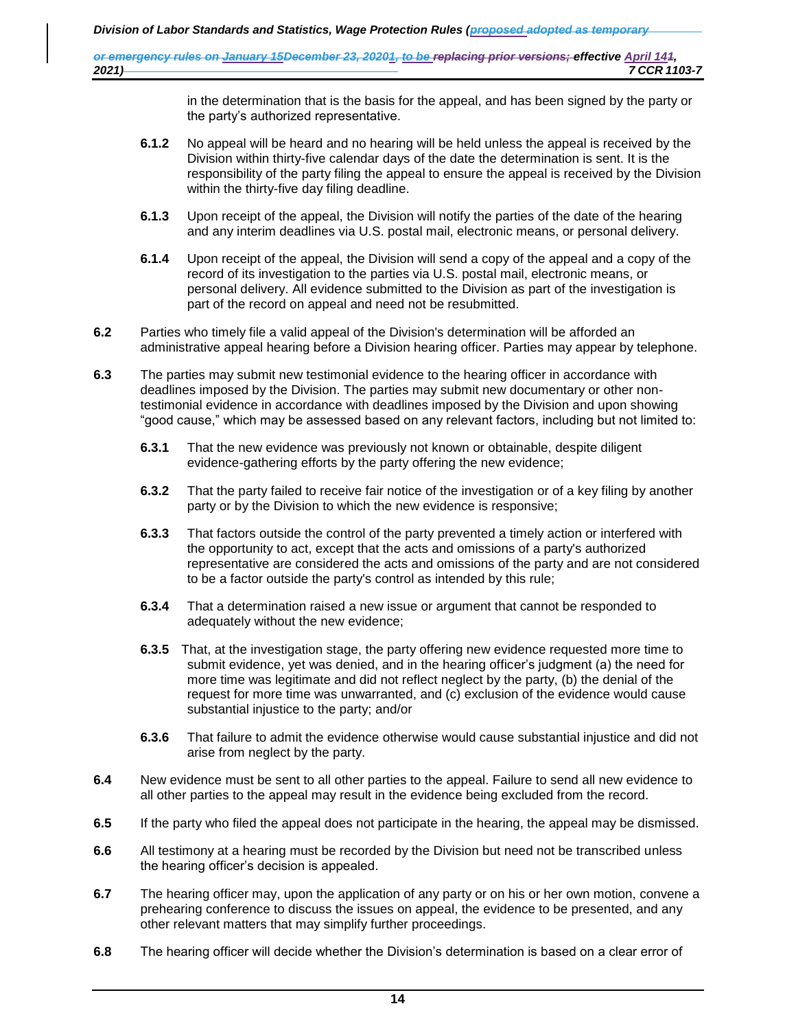> in the determination that is the basis for the appeal, and has been signed by the party or the party's authorized representative.

- **6.1.2** No appeal will be heard and no hearing will be held unless the appeal is received by the Division within thirty-five calendar days of the date the determination is sent. It is the responsibility of the party filing the appeal to ensure the appeal is received by the Division within the thirty-five day filing deadline.
- **6.1.3** Upon receipt of the appeal, the Division will notify the parties of the date of the hearing and any interim deadlines via U.S. postal mail, electronic means, or personal delivery.
- **6.1.4** Upon receipt of the appeal, the Division will send a copy of the appeal and a copy of the record of its investigation to the parties via U.S. postal mail, electronic means, or personal delivery. All evidence submitted to the Division as part of the investigation is part of the record on appeal and need not be resubmitted.
- **6.2** Parties who timely file a valid appeal of the Division's determination will be afforded an administrative appeal hearing before a Division hearing officer. Parties may appear by telephone.
- **6.3** The parties may submit new testimonial evidence to the hearing officer in accordance with deadlines imposed by the Division. The parties may submit new documentary or other nontestimonial evidence in accordance with deadlines imposed by the Division and upon showing "good cause," which may be assessed based on any relevant factors, including but not limited to:
	- **6.3.1** That the new evidence was previously not known or obtainable, despite diligent evidence-gathering efforts by the party offering the new evidence;
	- **6.3.2** That the party failed to receive fair notice of the investigation or of a key filing by another party or by the Division to which the new evidence is responsive;
	- **6.3.3** That factors outside the control of the party prevented a timely action or interfered with the opportunity to act, except that the acts and omissions of a party's authorized representative are considered the acts and omissions of the party and are not considered to be a factor outside the party's control as intended by this rule;
	- **6.3.4** That a determination raised a new issue or argument that cannot be responded to adequately without the new evidence;
	- **6.3.5** That, at the investigation stage, the party offering new evidence requested more time to submit evidence, yet was denied, and in the hearing officer's judgment (a) the need for more time was legitimate and did not reflect neglect by the party, (b) the denial of the request for more time was unwarranted, and (c) exclusion of the evidence would cause substantial injustice to the party; and/or
	- **6.3.6** That failure to admit the evidence otherwise would cause substantial injustice and did not arise from neglect by the party.
- **6.4** New evidence must be sent to all other parties to the appeal. Failure to send all new evidence to all other parties to the appeal may result in the evidence being excluded from the record.
- **6.5** If the party who filed the appeal does not participate in the hearing, the appeal may be dismissed.
- **6.6** All testimony at a hearing must be recorded by the Division but need not be transcribed unless the hearing officer's decision is appealed.
- **6.7** The hearing officer may, upon the application of any party or on his or her own motion, convene a prehearing conference to discuss the issues on appeal, the evidence to be presented, and any other relevant matters that may simplify further proceedings.
- **6.8** The hearing officer will decide whether the Division's determination is based on a clear error of